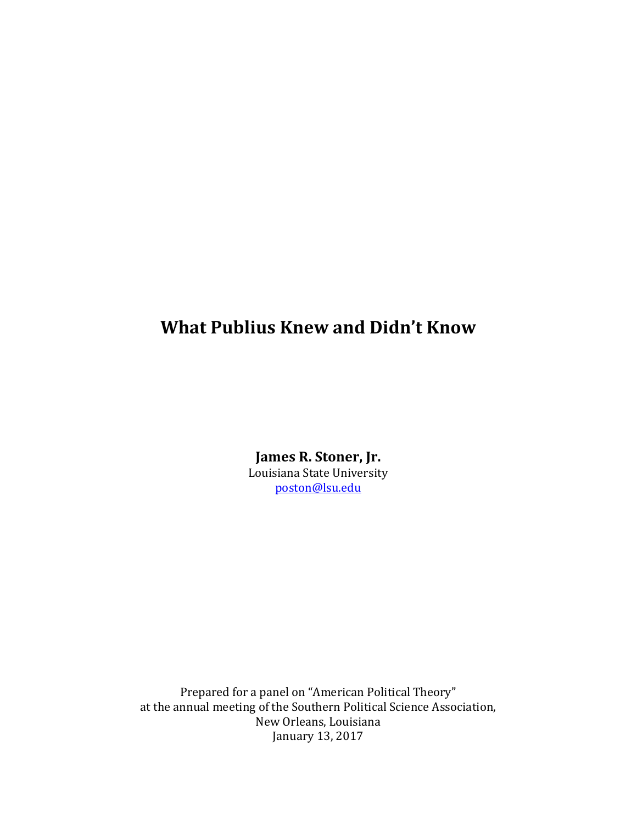## **What Publius Knew and Didn't Know**

James R. Stoner, Jr. Louisiana State University poston@lsu.edu

Prepared for a panel on "American Political Theory" at the annual meeting of the Southern Political Science Association, New Orleans, Louisiana January 13, 2017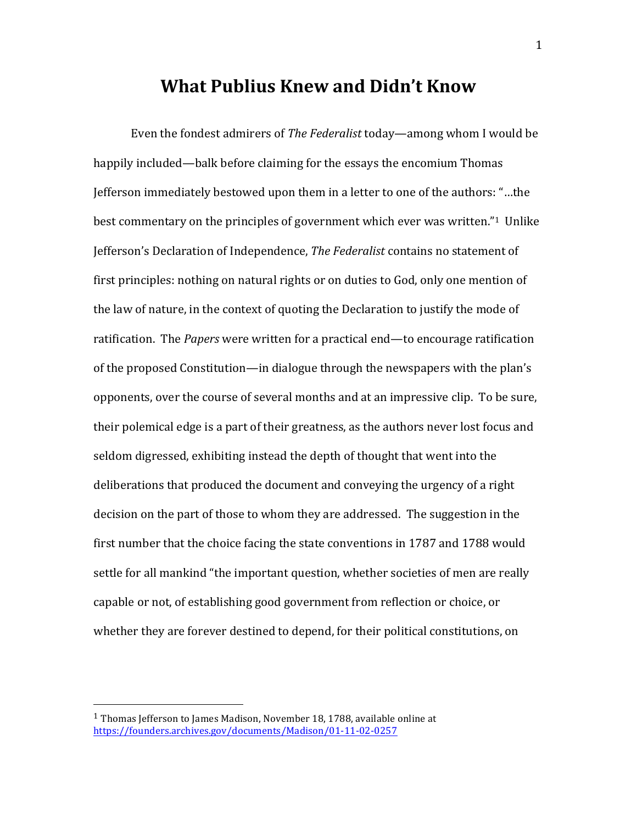## **What Publius Knew and Didn't Know**

Even the fondest admirers of *The Federalist* today—among whom I would be happily included—balk before claiming for the essays the encomium Thomas Jefferson immediately bestowed upon them in a letter to one of the authors: "...the best commentary on the principles of government which ever was written."<sup>1</sup> Unlike Jefferson's Declaration of Independence, *The Federalist* contains no statement of first principles: nothing on natural rights or on duties to God, only one mention of the law of nature, in the context of quoting the Declaration to justify the mode of ratification. The *Papers* were written for a practical end—to encourage ratification of the proposed Constitution—in dialogue through the newspapers with the plan's opponents, over the course of several months and at an impressive clip. To be sure, their polemical edge is a part of their greatness, as the authors never lost focus and seldom digressed, exhibiting instead the depth of thought that went into the deliberations that produced the document and conveying the urgency of a right decision on the part of those to whom they are addressed. The suggestion in the first number that the choice facing the state conventions in 1787 and 1788 would settle for all mankind "the important question, whether societies of men are really capable or not, of establishing good government from reflection or choice, or whether they are forever destined to depend, for their political constitutions, on

 $1$  Thomas Jefferson to James Madison, November 18, 1788, available online at https://founders.archives.gov/documents/Madison/01-11-02-0257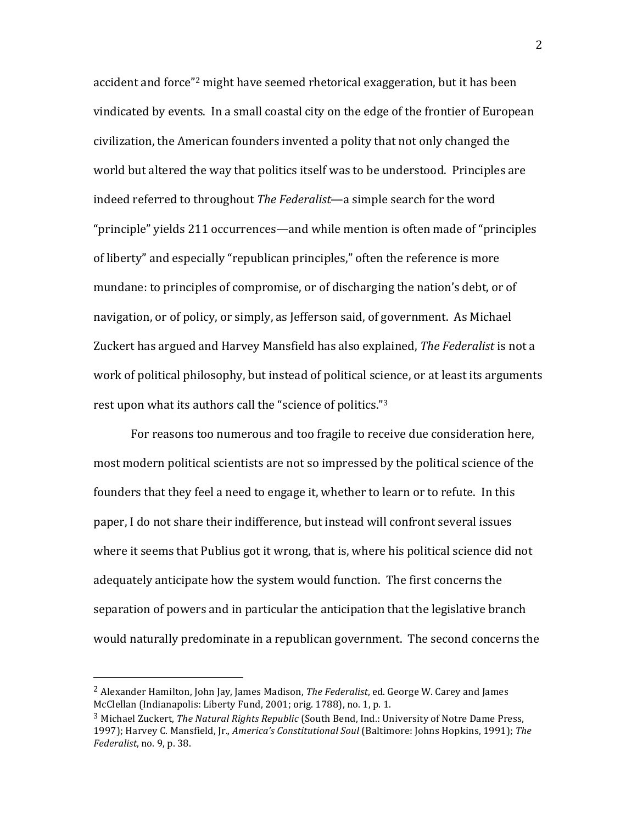accident and force"<sup>2</sup> might have seemed rhetorical exaggeration, but it has been vindicated by events. In a small coastal city on the edge of the frontier of European civilization, the American founders invented a polity that not only changed the world but altered the way that politics itself was to be understood. Principles are indeed referred to throughout *The Federalist*—a simple search for the word "principle" yields 211 occurrences—and while mention is often made of "principles" of liberty" and especially "republican principles," often the reference is more mundane: to principles of compromise, or of discharging the nation's debt, or of navigation, or of policy, or simply, as Jefferson said, of government. As Michael Zuckert has argued and Harvey Mansfield has also explained, *The Federalist* is not a work of political philosophy, but instead of political science, or at least its arguments rest upon what its authors call the "science of politics."<sup>3</sup>

For reasons too numerous and too fragile to receive due consideration here, most modern political scientists are not so impressed by the political science of the founders that they feel a need to engage it, whether to learn or to refute. In this paper. I do not share their indifference, but instead will confront several issues where it seems that Publius got it wrong, that is, where his political science did not adequately anticipate how the system would function. The first concerns the separation of powers and in particular the anticipation that the legislative branch would naturally predominate in a republican government. The second concerns the

<sup>&</sup>lt;sup>2</sup> Alexander Hamilton, John Jay, James Madison, *The Federalist*, ed. George W. Carey and James McClellan (Indianapolis: Liberty Fund, 2001; orig. 1788), no. 1, p. 1.

<sup>&</sup>lt;sup>3</sup> Michael Zuckert, *The Natural Rights Republic* (South Bend, Ind.: University of Notre Dame Press, 1997); Harvey C. Mansfield, Jr., *America's Constitutional Soul* (Baltimore: Johns Hopkins, 1991); The *Federalist*, no. 9, p. 38.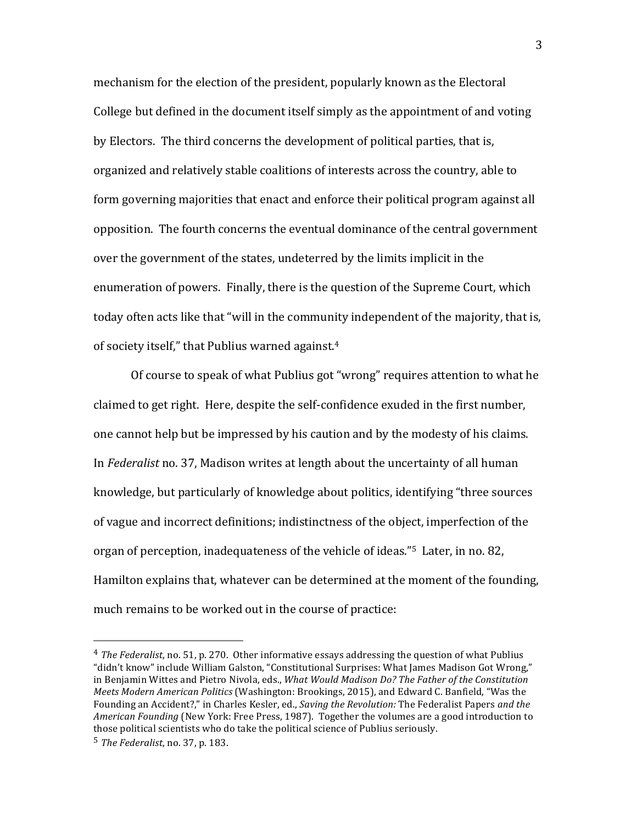mechanism for the election of the president, popularly known as the Electoral College but defined in the document itself simply as the appointment of and voting by Electors. The third concerns the development of political parties, that is, organized and relatively stable coalitions of interests across the country, able to form governing majorities that enact and enforce their political program against all opposition. The fourth concerns the eventual dominance of the central government over the government of the states, undeterred by the limits implicit in the enumeration of powers. Finally, there is the question of the Supreme Court, which today often acts like that "will in the community independent of the majority, that is, of society itself," that Publius warned against. $4$ 

Of course to speak of what Publius got "wrong" requires attention to what he claimed to get right. Here, despite the self-confidence exuded in the first number, one cannot help but be impressed by his caution and by the modesty of his claims. In *Federalist* no. 37, Madison writes at length about the uncertainty of all human knowledge, but particularly of knowledge about politics, identifying "three sources of vague and incorrect definitions; indistinctness of the object, imperfection of the organ of perception, inadequateness of the vehicle of ideas."<sup>5</sup> Later, in no. 82, Hamilton explains that, whatever can be determined at the moment of the founding, much remains to be worked out in the course of practice:

 $4$  *The Federalist*, no. 51, p. 270. Other informative essays addressing the question of what Publius "didn't know" include William Galston, "Constitutional Surprises: What James Madison Got Wrong," in Benjamin Wittes and Pietro Nivola, eds., *What Would Madison Do? The Father of the Constitution Meets Modern American Politics* (Washington: Brookings, 2015), and Edward C. Banfield, "Was the Founding an Accident?," in Charles Kesler, ed., *Saving the Revolution:* The Federalist Papers *and the American Founding* (New York: Free Press, 1987). Together the volumes are a good introduction to those political scientists who do take the political science of Publius seriously.

<sup>5</sup> *The Federalist*, no. 37, p. 183.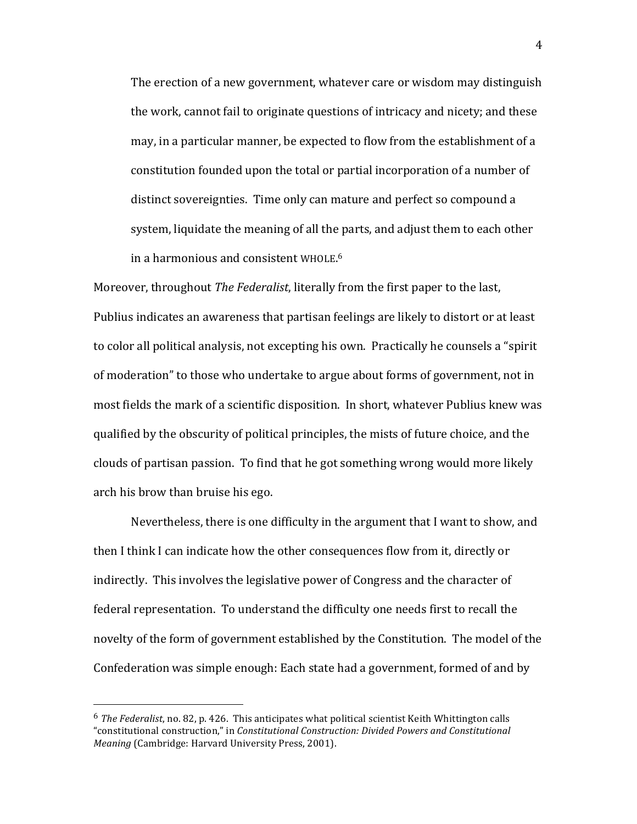The erection of a new government, whatever care or wisdom may distinguish the work, cannot fail to originate questions of intricacy and nicety; and these may, in a particular manner, be expected to flow from the establishment of a constitution founded upon the total or partial incorporation of a number of distinct sovereignties. Time only can mature and perfect so compound a system, liquidate the meaning of all the parts, and adjust them to each other in a harmonious and consistent WHOLE.<sup>6</sup>

Moreover, throughout *The Federalist*, literally from the first paper to the last, Publius indicates an awareness that partisan feelings are likely to distort or at least to color all political analysis, not excepting his own. Practically he counsels a "spirit of moderation" to those who undertake to argue about forms of government, not in most fields the mark of a scientific disposition. In short, whatever Publius knew was qualified by the obscurity of political principles, the mists of future choice, and the clouds of partisan passion. To find that he got something wrong would more likely arch his brow than bruise his ego.

Nevertheless, there is one difficulty in the argument that I want to show, and then I think I can indicate how the other consequences flow from it, directly or indirectly. This involves the legislative power of Congress and the character of federal representation. To understand the difficulty one needs first to recall the novelty of the form of government established by the Constitution. The model of the Confederation was simple enough: Each state had a government, formed of and by

 $6$  The Federalist, no. 82, p. 426. This anticipates what political scientist Keith Whittington calls "constitutional construction," in *Constitutional Construction: Divided Powers and Constitutional Meaning* (Cambridge: Harvard University Press, 2001).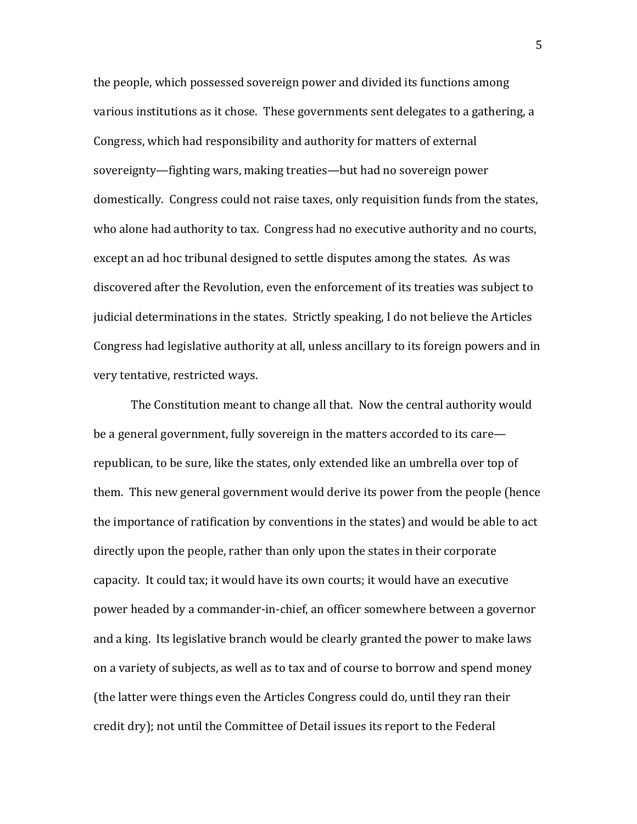the people, which possessed sovereign power and divided its functions among various institutions as it chose. These governments sent delegates to a gathering, a Congress, which had responsibility and authority for matters of external sovereignty—fighting wars, making treaties—but had no sovereign power domestically. Congress could not raise taxes, only requisition funds from the states, who alone had authority to tax. Congress had no executive authority and no courts, except an ad hoc tribunal designed to settle disputes among the states. As was discovered after the Revolution, even the enforcement of its treaties was subject to judicial determinations in the states. Strictly speaking, I do not believe the Articles Congress had legislative authority at all, unless ancillary to its foreign powers and in very tentative, restricted ways.

The Constitution meant to change all that. Now the central authority would be a general government, fully sovereign in the matters accorded to its care republican, to be sure, like the states, only extended like an umbrella over top of them. This new general government would derive its power from the people (hence the importance of ratification by conventions in the states) and would be able to act directly upon the people, rather than only upon the states in their corporate capacity. It could tax; it would have its own courts; it would have an executive power headed by a commander-in-chief, an officer somewhere between a governor and a king. Its legislative branch would be clearly granted the power to make laws on a variety of subjects, as well as to tax and of course to borrow and spend money (the latter were things even the Articles Congress could do, until they ran their credit dry); not until the Committee of Detail issues its report to the Federal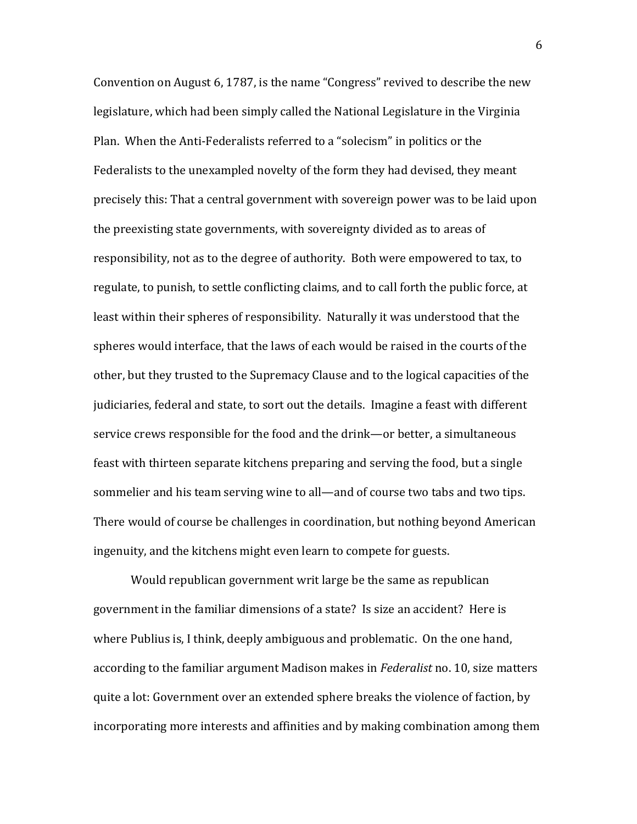Convention on August 6, 1787, is the name "Congress" revived to describe the new legislature, which had been simply called the National Legislature in the Virginia Plan. When the Anti-Federalists referred to a "solecism" in politics or the Federalists to the unexampled novelty of the form they had devised, they meant precisely this: That a central government with sovereign power was to be laid upon the preexisting state governments, with sovereignty divided as to areas of responsibility, not as to the degree of authority. Both were empowered to tax, to regulate, to punish, to settle conflicting claims, and to call forth the public force, at least within their spheres of responsibility. Naturally it was understood that the spheres would interface, that the laws of each would be raised in the courts of the other, but they trusted to the Supremacy Clause and to the logical capacities of the judiciaries, federal and state, to sort out the details. Imagine a feast with different service crews responsible for the food and the drink—or better, a simultaneous feast with thirteen separate kitchens preparing and serving the food, but a single sommelier and his team serving wine to all—and of course two tabs and two tips. There would of course be challenges in coordination, but nothing beyond American ingenuity, and the kitchens might even learn to compete for guests.

Would republican government writ large be the same as republican government in the familiar dimensions of a state? Is size an accident? Here is where Publius is, I think, deeply ambiguous and problematic. On the one hand, according to the familiar argument Madison makes in *Federalist* no. 10, size matters quite a lot: Government over an extended sphere breaks the violence of faction, by incorporating more interests and affinities and by making combination among them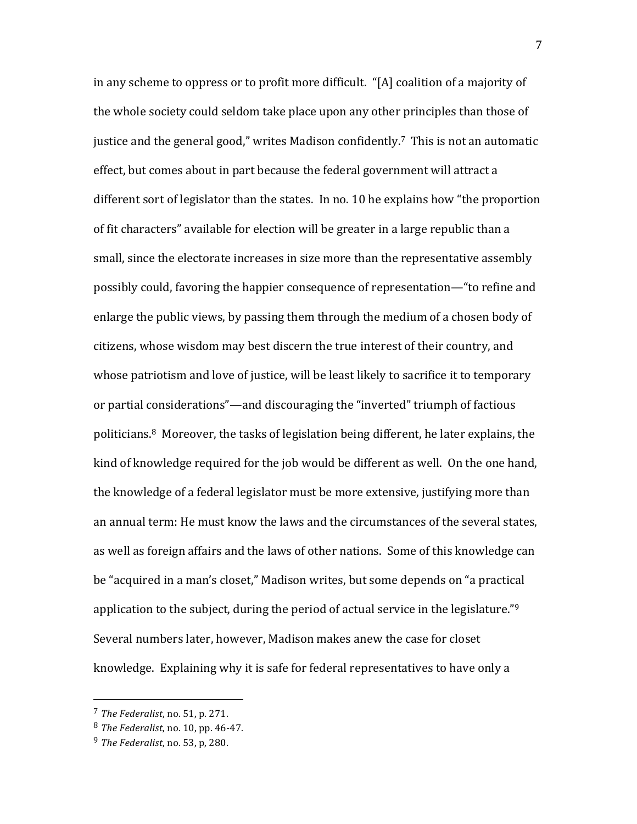in any scheme to oppress or to profit more difficult. "[A] coalition of a majority of the whole society could seldom take place upon any other principles than those of justice and the general good," writes Madison confidently.<sup>7</sup> This is not an automatic effect, but comes about in part because the federal government will attract a different sort of legislator than the states. In no. 10 he explains how "the proportion of fit characters" available for election will be greater in a large republic than a small, since the electorate increases in size more than the representative assembly possibly could, favoring the happier consequence of representation—"to refine and enlarge the public views, by passing them through the medium of a chosen body of citizens, whose wisdom may best discern the true interest of their country, and whose patriotism and love of justice, will be least likely to sacrifice it to temporary or partial considerations"—and discouraging the "inverted" triumph of factious politicians.<sup>8</sup> Moreover, the tasks of legislation being different, he later explains, the kind of knowledge required for the job would be different as well. On the one hand, the knowledge of a federal legislator must be more extensive, justifying more than an annual term: He must know the laws and the circumstances of the several states, as well as foreign affairs and the laws of other nations. Some of this knowledge can be "acquired in a man's closet," Madison writes, but some depends on "a practical application to the subject, during the period of actual service in the legislature." $9$ Several numbers later, however, Madison makes anew the case for closet knowledge. Explaining why it is safe for federal representatives to have only a

 $7$  *The Federalist*, no. 51, p. 271.

<sup>&</sup>lt;sup>8</sup> *The Federalist*, no. 10, pp. 46-47.

 $9$  *The Federalist*, no. 53, p, 280.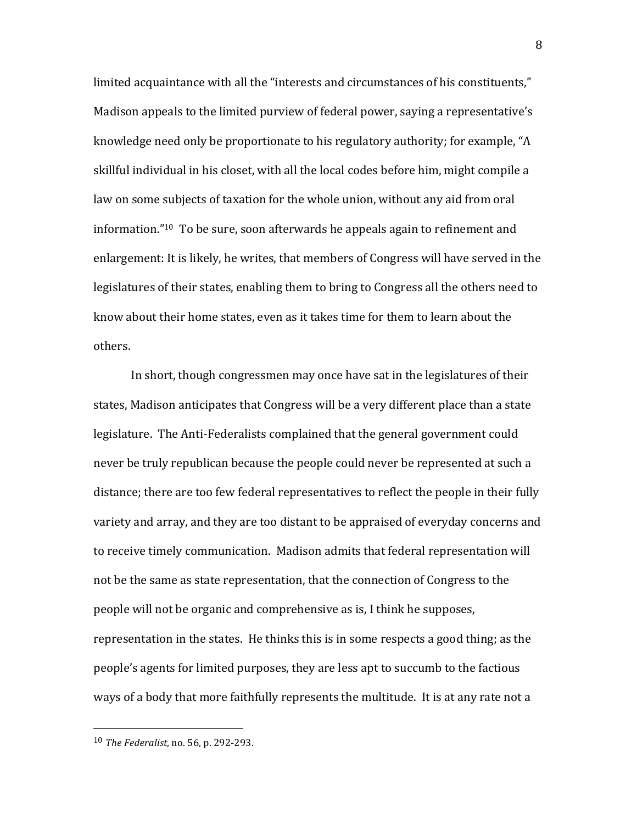limited acquaintance with all the "interests and circumstances of his constituents," Madison appeals to the limited purview of federal power, saying a representative's knowledge need only be proportionate to his regulatory authority; for example, "A skillful individual in his closet, with all the local codes before him, might compile a law on some subjects of taxation for the whole union, without any aid from oral information."<sup>10</sup> To be sure, soon afterwards he appeals again to refinement and enlargement: It is likely, he writes, that members of Congress will have served in the legislatures of their states, enabling them to bring to Congress all the others need to know about their home states, even as it takes time for them to learn about the others.

In short, though congressmen may once have sat in the legislatures of their states, Madison anticipates that Congress will be a very different place than a state legislature. The Anti-Federalists complained that the general government could never be truly republican because the people could never be represented at such a distance; there are too few federal representatives to reflect the people in their fully variety and array, and they are too distant to be appraised of everyday concerns and to receive timely communication. Madison admits that federal representation will not be the same as state representation, that the connection of Congress to the people will not be organic and comprehensive as is, I think he supposes, representation in the states. He thinks this is in some respects a good thing; as the people's agents for limited purposes, they are less apt to succumb to the factious ways of a body that more faithfully represents the multitude. It is at any rate not a

 10 *The Federalist*, no. 56, p. 292-293.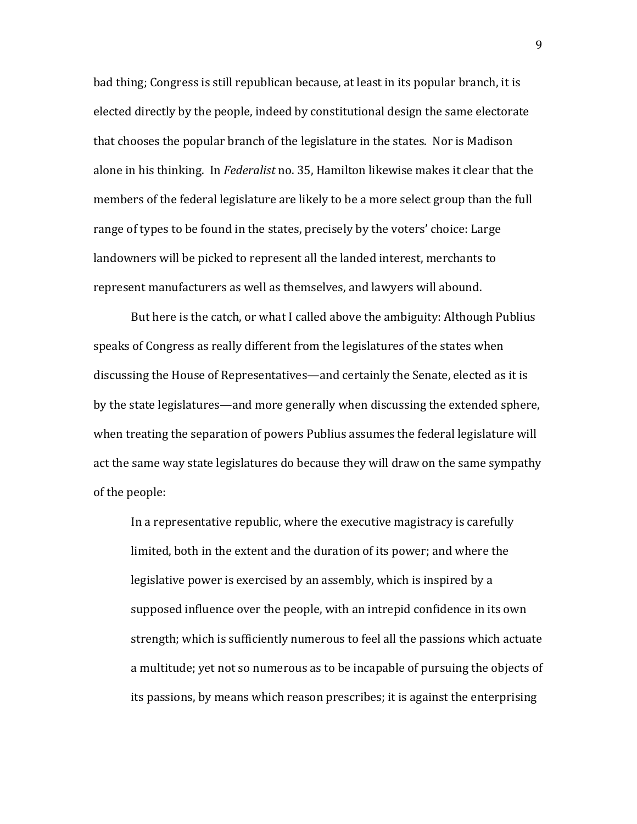bad thing; Congress is still republican because, at least in its popular branch, it is elected directly by the people, indeed by constitutional design the same electorate that chooses the popular branch of the legislature in the states. Nor is Madison alone in his thinking. In *Federalist* no. 35, Hamilton likewise makes it clear that the members of the federal legislature are likely to be a more select group than the full range of types to be found in the states, precisely by the voters' choice: Large landowners will be picked to represent all the landed interest, merchants to represent manufacturers as well as themselves, and lawyers will abound.

But here is the catch, or what I called above the ambiguity: Although Publius speaks of Congress as really different from the legislatures of the states when discussing the House of Representatives—and certainly the Senate, elected as it is by the state legislatures—and more generally when discussing the extended sphere, when treating the separation of powers Publius assumes the federal legislature will act the same way state legislatures do because they will draw on the same sympathy of the people:

In a representative republic, where the executive magistracy is carefully limited, both in the extent and the duration of its power; and where the legislative power is exercised by an assembly, which is inspired by a supposed influence over the people, with an intrepid confidence in its own strength; which is sufficiently numerous to feel all the passions which actuate a multitude; yet not so numerous as to be incapable of pursuing the objects of its passions, by means which reason prescribes; it is against the enterprising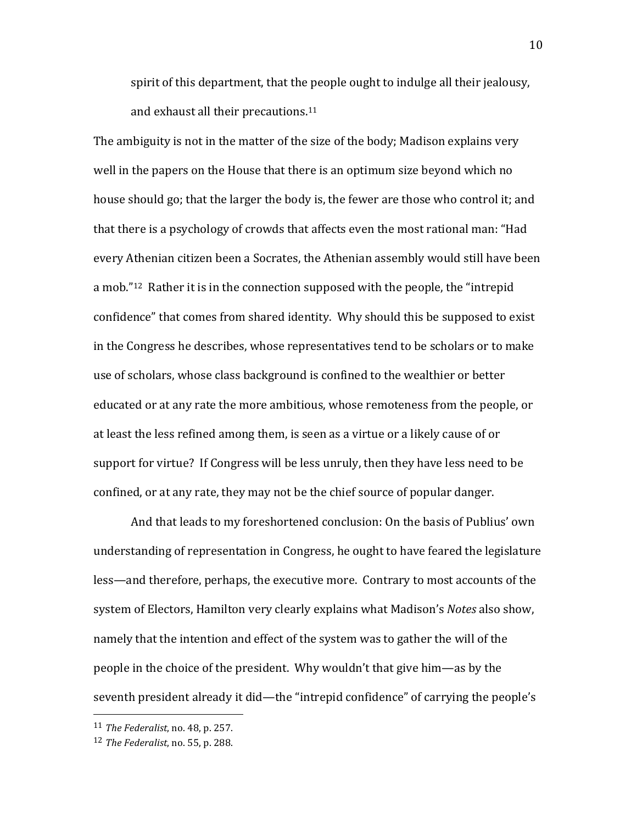spirit of this department, that the people ought to indulge all their jealousy, and exhaust all their precautions.<sup>11</sup>

The ambiguity is not in the matter of the size of the body; Madison explains very well in the papers on the House that there is an optimum size beyond which no house should go; that the larger the body is, the fewer are those who control it; and that there is a psychology of crowds that affects even the most rational man: "Had every Athenian citizen been a Socrates, the Athenian assembly would still have been a mob." $12$  Rather it is in the connection supposed with the people, the "intrepid" confidence" that comes from shared identity. Why should this be supposed to exist in the Congress he describes, whose representatives tend to be scholars or to make use of scholars, whose class background is confined to the wealthier or better educated or at any rate the more ambitious, whose remoteness from the people, or at least the less refined among them, is seen as a virtue or a likely cause of or support for virtue? If Congress will be less unruly, then they have less need to be confined, or at any rate, they may not be the chief source of popular danger.

And that leads to my foreshortened conclusion: On the basis of Publius' own understanding of representation in Congress, he ought to have feared the legislature less—and therefore, perhaps, the executive more. Contrary to most accounts of the system of Electors, Hamilton very clearly explains what Madison's Notes also show, namely that the intention and effect of the system was to gather the will of the people in the choice of the president. Why wouldn't that give him—as by the seventh president already it did—the "intrepid confidence" of carrying the people's

<sup>11</sup> *The Federalist*, no. 48, p. 257.

<sup>12</sup> *The Federalist*, no. 55, p. 288.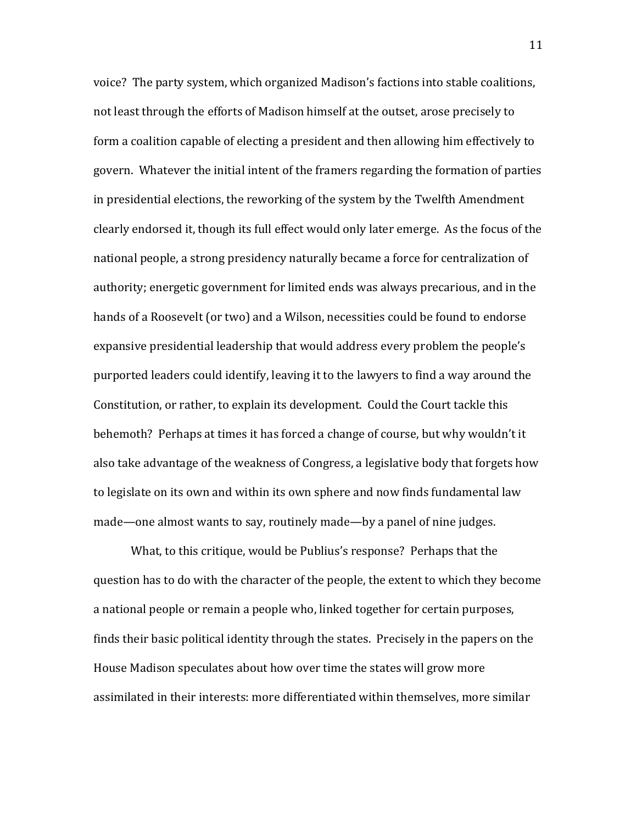voice? The party system, which organized Madison's factions into stable coalitions, not least through the efforts of Madison himself at the outset, arose precisely to form a coalition capable of electing a president and then allowing him effectively to govern. Whatever the initial intent of the framers regarding the formation of parties in presidential elections, the reworking of the system by the Twelfth Amendment clearly endorsed it, though its full effect would only later emerge. As the focus of the national people, a strong presidency naturally became a force for centralization of authority; energetic government for limited ends was always precarious, and in the hands of a Roosevelt (or two) and a Wilson, necessities could be found to endorse expansive presidential leadership that would address every problem the people's purported leaders could identify, leaving it to the lawyers to find a way around the Constitution, or rather, to explain its development. Could the Court tackle this behemoth? Perhaps at times it has forced a change of course, but why wouldn't it also take advantage of the weakness of Congress, a legislative body that forgets how to legislate on its own and within its own sphere and now finds fundamental law made—one almost wants to say, routinely made—by a panel of nine judges.

What, to this critique, would be Publius's response? Perhaps that the question has to do with the character of the people, the extent to which they become a national people or remain a people who, linked together for certain purposes, finds their basic political identity through the states. Precisely in the papers on the House Madison speculates about how over time the states will grow more assimilated in their interests: more differentiated within themselves, more similar